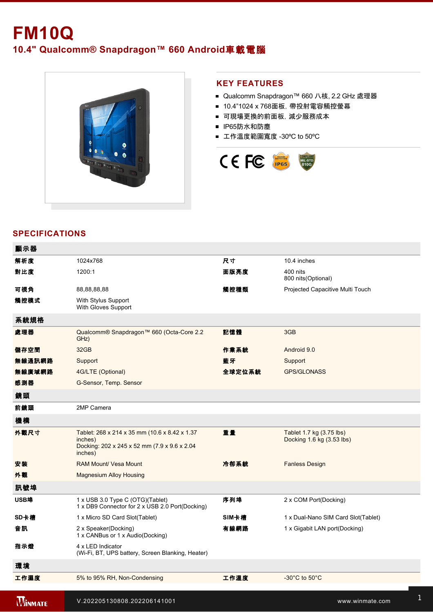# **FM10Q 10.4" Qualcomm® Snapdragon™ 660 Android**車載電腦



#### **KEY FEATURES**

- Qualcomm Snapdragon™ 660 八核, 2.2 GHz 處理器
- 10.4"1024 x 768面板, 帶投射電容觸控螢幕
- 可現場更換的前面板, 減少服務成本
- IP65防水和防塵
- 工作溫度範圍寬度 -30°C to 50°C



## **SPECIFICATIONS**

| 顯示器            |                                                                                                                     |        |                                                       |
|----------------|---------------------------------------------------------------------------------------------------------------------|--------|-------------------------------------------------------|
| 解析度            | 1024x768                                                                                                            | 尺寸     | 10.4 inches                                           |
| 對比度            | 1200:1                                                                                                              | 面版亮度   | 400 nits<br>800 nits(Optional)                        |
| 可視角            | 88,88,88,88                                                                                                         | 觸控種類   | Projected Capacitive Multi Touch                      |
| 觸控模式           | With Stylus Support<br>With Gloves Support                                                                          |        |                                                       |
| 系統規格           |                                                                                                                     |        |                                                       |
| 處理器            | Qualcomm® Snapdragon™ 660 (Octa-Core 2.2<br>GHz)                                                                    | 記憶體    | 3GB                                                   |
| 儲存空間           | 32GB                                                                                                                | 作業系統   | Android 9.0                                           |
| 無線通訊網路         | Support                                                                                                             | 藍牙     | Support                                               |
| 無線廣域網路         | 4G/LTE (Optional)                                                                                                   | 全球定位系統 | <b>GPS/GLONASS</b>                                    |
| 感測器            | G-Sensor, Temp. Sensor                                                                                              |        |                                                       |
| 鏡頭             |                                                                                                                     |        |                                                       |
| 前鏡頭            | 2MP Camera                                                                                                          |        |                                                       |
| 機構             |                                                                                                                     |        |                                                       |
| 外觀尺寸           | Tablet: 268 x 214 x 35 mm (10.6 x 8.42 x 1.37<br>inches)<br>Docking: 202 x 245 x 52 mm (7.9 x 9.6 x 2.04<br>inches) | 重量     | Tablet 1.7 kg (3.75 lbs)<br>Docking 1.6 kg (3.53 lbs) |
| 安裝             | <b>RAM Mount/ Vesa Mount</b>                                                                                        | 冷卻系統   | <b>Fanless Design</b>                                 |
| 外觀             | <b>Magnesium Alloy Housing</b>                                                                                      |        |                                                       |
| 訊號埠            |                                                                                                                     |        |                                                       |
| USB埠           | 1 x USB 3.0 Type C (OTG)(Tablet)<br>1 x DB9 Connector for 2 x USB 2.0 Port(Docking)                                 | 序列埠    | 2 x COM Port(Docking)                                 |
| SD卡槽           | 1 x Micro SD Card Slot(Tablet)                                                                                      | SIM卡槽  | 1 x Dual-Nano SIM Card Slot(Tablet)                   |
| 音訊             | 2 x Speaker(Docking)<br>1 x CANBus or 1 x Audio(Docking)                                                            | 有線網路   | 1 x Gigabit LAN port(Docking)                         |
| 指示燈            | 4 x LED Indicator<br>(Wi-Fi, BT, UPS battery, Screen Blanking, Heater)                                              |        |                                                       |
| 環境             |                                                                                                                     |        |                                                       |
| 工作濕度           | 5% to 95% RH, Non-Condensing                                                                                        | 工作溫度   | -30 $^{\circ}$ C to 50 $^{\circ}$ C                   |
| <b>WINMATE</b> | V.202205130808.202206141001                                                                                         |        | www.winmate.com                                       |

 $\mathcal{S}_{\mathcal{S}}$  Support ENG2262 IK07 Rating  $\mathcal{S}_{\mathcal{S}}$  is the EN 6100042,  $\mathcal{S}_{\mathcal{S}}$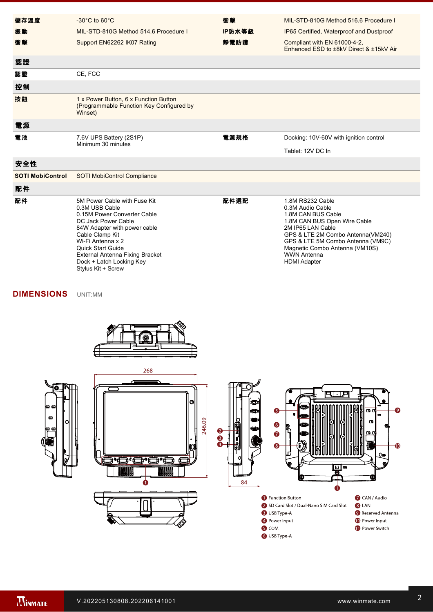| 儲存溫度                    | $-30^{\circ}$ C to 60 $^{\circ}$ C                                                                                                                                                                                                                                                                   | 衝擊     | MIL-STD-810G Method 516.6 Procedure I                                                                                                                                                                                                                                    |
|-------------------------|------------------------------------------------------------------------------------------------------------------------------------------------------------------------------------------------------------------------------------------------------------------------------------------------------|--------|--------------------------------------------------------------------------------------------------------------------------------------------------------------------------------------------------------------------------------------------------------------------------|
| 振動                      | MIL-STD-810G Method 514.6 Procedure I                                                                                                                                                                                                                                                                | IP防水等級 | IP65 Certified, Waterproof and Dustproof                                                                                                                                                                                                                                 |
| 衝擊                      | Support EN62262 IK07 Rating                                                                                                                                                                                                                                                                          | 靜電防護   | Compliant with EN 61000-4-2,<br>Enhanced ESD to ±8kV Direct & ±15kV Air                                                                                                                                                                                                  |
| 認證                      |                                                                                                                                                                                                                                                                                                      |        |                                                                                                                                                                                                                                                                          |
| 認證                      | CE, FCC                                                                                                                                                                                                                                                                                              |        |                                                                                                                                                                                                                                                                          |
| 控制                      |                                                                                                                                                                                                                                                                                                      |        |                                                                                                                                                                                                                                                                          |
| 按鈕                      | 1 x Power Button, 6 x Function Button<br>(Programmable Function Key Configured by<br>Winset)                                                                                                                                                                                                         |        |                                                                                                                                                                                                                                                                          |
| 電源                      |                                                                                                                                                                                                                                                                                                      |        |                                                                                                                                                                                                                                                                          |
| 電池                      | 7.6V UPS Battery (2S1P)<br>Minimum 30 minutes                                                                                                                                                                                                                                                        | 電源規格   | Docking: 10V-60V with ignition control                                                                                                                                                                                                                                   |
|                         |                                                                                                                                                                                                                                                                                                      |        | Tablet: 12V DC In                                                                                                                                                                                                                                                        |
| 安全性                     |                                                                                                                                                                                                                                                                                                      |        |                                                                                                                                                                                                                                                                          |
| <b>SOTI MobiControl</b> | <b>SOTI MobiControl Compliance</b>                                                                                                                                                                                                                                                                   |        |                                                                                                                                                                                                                                                                          |
| 配件                      |                                                                                                                                                                                                                                                                                                      |        |                                                                                                                                                                                                                                                                          |
| 配件                      | 5M Power Cable with Fuse Kit<br>0.3M USB Cable<br>0.15M Power Converter Cable<br>DC Jack Power Cable<br>84W Adapter with power cable<br>Cable Clamp Kit<br>Wi-Fi Antenna x 2<br><b>Quick Start Guide</b><br><b>External Antenna Fixing Bracket</b><br>Dock + Latch Locking Key<br>Stylus Kit + Screw | 配件選配   | 1.8M RS232 Cable<br>0.3M Audio Cable<br>1.8M CAN BUS Cable<br>1.8M CAN BUS Open Wire Cable<br>2M IP65 LAN Cable<br>GPS & LTE 2M Combo Antenna(VM240)<br>GPS & LTE 5M Combo Antenna (VM9C)<br>Magnetic Combo Antenna (VM10S)<br><b>WWN Antenna</b><br><b>HDMI</b> Adapter |

#### **DIMENSIONS**  UNIT:MM



2. CANBus and audio are mutually exclusive.